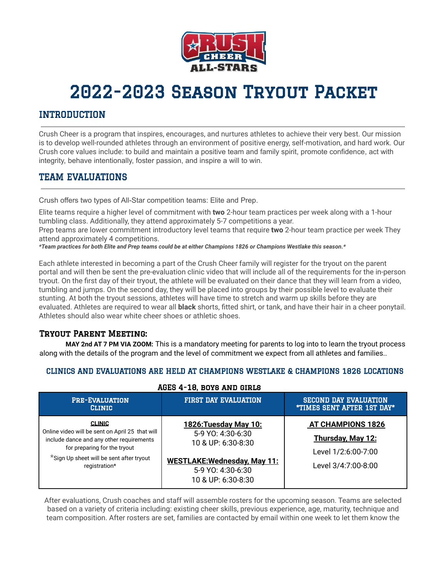

# 2022-2023 Season Tryout Packet

# INTRODUCTION

Crush Cheer is a program that inspires, encourages, and nurtures athletes to achieve their very best. Our mission is to develop well-rounded athletes through an environment of positive energy, self-motivation, and hard work. Our Crush core values include: to build and maintain a positive team and family spirit, promote confidence, act with integrity, behave intentionally, foster passion, and inspire a will to win.

# TEAM EVALUATIONS

Crush offers two types of All-Star competition teams: Elite and Prep.

Elite teams require a higher level of commitment with **two** 2-hour team practices per week along with a 1-hour tumbling class. Additionally, they attend approximately 5-7 competitions a year.

Prep teams are lower commitment introductory level teams that require **two** 2-hour team practice per week They attend approximately 4 competitions.

\*Team practices for both Elite and Prep teams could be at either Champions 1826 or Champions Westlake this season.\*

Each athlete interested in becoming a part of the Crush Cheer family will register for the tryout on the parent portal and will then be sent the pre-evaluation clinic video that will include all of the requirements for the in-person tryout. On the first day of their tryout, the athlete will be evaluated on their dance that they will learn from a video, tumbling and jumps. On the second day, they will be placed into groups by their possible level to evaluate their stunting. At both the tryout sessions, athletes will have time to stretch and warm up skills before they are evaluated. Athletes are required to wear all **black** shorts, fitted shirt, or tank, and have their hair in a cheer ponytail. Athletes should also wear white cheer shoes or athletic shoes.

## Tryout Parent Meeting:

**MAY 2nd AT 7 PM VIA ZOOM:** This is a mandatory meeting for parents to log into to learn the tryout process along with the details of the program and the level of commitment we expect from all athletes and families..

## CLINICS AND EVALUATIONS ARE HELD AT CHAMPIONS WESTLAKE & CHAMPIONS 1826 LOCATIONS

| <b>PRE-EVALUATION</b><br><b>CLINIC</b>                                                                                                                                                                    | <b>FIRST DAY EVALUATION</b>                                                                                                                        | <b>SECOND DAY EVALUATION</b><br><b>*TIMES SENT AFTER 1ST DAY*</b>                           |
|-----------------------------------------------------------------------------------------------------------------------------------------------------------------------------------------------------------|----------------------------------------------------------------------------------------------------------------------------------------------------|---------------------------------------------------------------------------------------------|
| <b>CLINIC</b><br>Online video will be sent on April 25 that will<br>include dance and any other requirements<br>for preparing for the tryout<br>*Sign Up sheet will be sent after tryout<br>registration* | 1826: Tuesday May 10:<br>5-9 YO: 4:30-6:30<br>10 & UP: 6:30-8:30<br><b>WESTLAKE: Wednesday, May 11:</b><br>5-9 YO: 4:30-6:30<br>10 & UP: 6:30-8:30 | <b>AT CHAMPIONS 1826</b><br>Thursday, May 12:<br>Level 1/2:6:00-7:00<br>Level 3/4:7:00-8:00 |

### AGES 4-18, boys and girls

After evaluations, Crush coaches and staff will assemble rosters for the upcoming season. Teams are selected based on a variety of criteria including: existing cheer skills, previous experience, age, maturity, technique and team composition. After rosters are set, families are contacted by email within one week to let them know the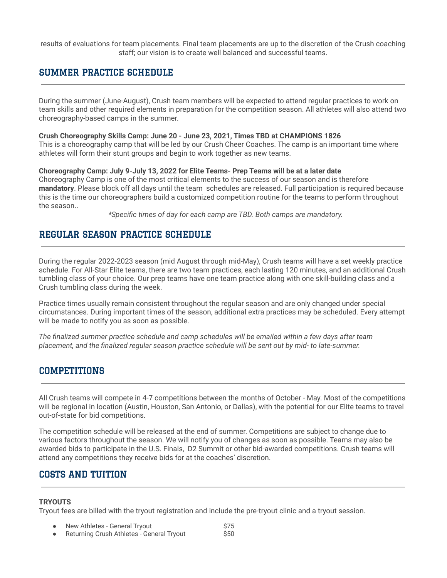results of evaluations for team placements. Final team placements are up to the discretion of the Crush coaching staff; our vision is to create well balanced and successful teams.

# SUMMER PRACTICE SCHEDULE

During the summer (June-August), Crush team members will be expected to attend regular practices to work on team skills and other required elements in preparation for the competition season. All athletes will also attend two choreography-based camps in the summer.

#### **Crush Choreography Skills Camp: June 20 - June 23, 2021, Times TBD at CHAMPIONS 1826**

This is a choreography camp that will be led by our Crush Cheer Coaches. The camp is an important time where athletes will form their stunt groups and begin to work together as new teams.

#### **Choreography Camp: July 9-July 13, 2022 for Elite Teams- Prep Teams will be at a later date**

Choreography Camp is one of the most critical elements to the success of our season and is therefore **mandatory**. Please block off all days until the team schedules are released. Full participation is required because this is the time our choreographers build a customized competition routine for the teams to perform throughout the season..

*\*Specific times of day for each camp are TBD. Both camps are mandatory.*

# REGULAR SEASON PRACTICE SCHEDULE

During the regular 2022-2023 season (mid August through mid-May), Crush teams will have a set weekly practice schedule. For All-Star Elite teams, there are two team practices, each lasting 120 minutes, and an additional Crush tumbling class of your choice. Our prep teams have one team practice along with one skill-building class and a Crush tumbling class during the week.

Practice times usually remain consistent throughout the regular season and are only changed under special circumstances. During important times of the season, additional extra practices may be scheduled. Every attempt will be made to notify you as soon as possible.

*The finalized summer practice schedule and camp schedules will be emailed within a few days after team placement, and the finalized regular season practice schedule will be sent out by mid- to late-summer.*

## COMPETITIONS

All Crush teams will compete in 4-7 competitions between the months of October - May. Most of the competitions will be regional in location (Austin, Houston, San Antonio, or Dallas), with the potential for our Elite teams to travel out-of-state for bid competitions.

The competition schedule will be released at the end of summer. Competitions are subject to change due to various factors throughout the season. We will notify you of changes as soon as possible. Teams may also be awarded bids to participate in the U.S. Finals, D2 Summit or other bid-awarded competitions. Crush teams will attend any competitions they receive bids for at the coaches' discretion.

# COSTS AND TUITION

### **TRYOUTS**

Tryout fees are billed with the tryout registration and include the pre-tryout clinic and a tryout session.

- New Athletes General Tryout<br>
Returning Crush Athletes General Tryout<br>
\$50
- Returning Crush Athletes General Tryout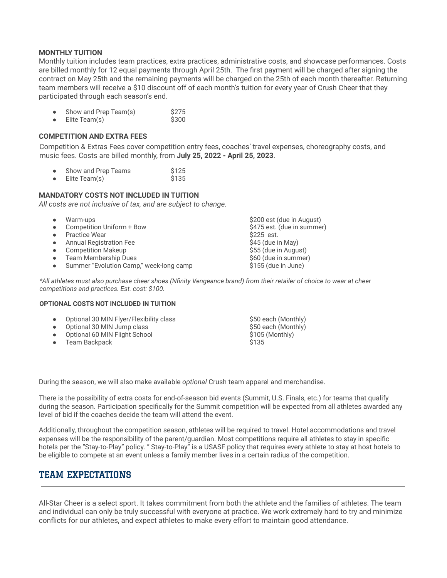#### **MONTHLY TUITION**

Monthly tuition includes team practices, extra practices, administrative costs, and showcase performances. Costs are billed monthly for 12 equal payments through April 25th. The first payment will be charged after signing the contract on May 25th and the remaining payments will be charged on the 25th of each month thereafter. Returning team members will receive a \$10 discount off of each month's tuition for every year of Crush Cheer that they participated through each season's end.

- Show and Prep Team(s) \$275<br>Elite Team(s) \$300
- $\bullet$  Elite Team(s)

## **COMPETITION AND EXTRA FEES**

Competition & Extras Fees cover competition entry fees, coaches' travel expenses, choreography costs, and music fees. Costs are billed monthly, from **July 25, 2022 - April 25, 2023**.

|  | Show and Prep Teams | \$125 |
|--|---------------------|-------|
|--|---------------------|-------|

● Elite Team(s) \$135

#### **MANDATORY COSTS NOT INCLUDED IN TUITION**

*All costs are not inclusive of tax, and are subject to change.*

| $\bullet$ | Warm-ups                                | \$200 est (due in August)  |
|-----------|-----------------------------------------|----------------------------|
| $\bullet$ | Competition Uniform + Bow               | \$475 est. (due in summer) |
| $\bullet$ | <b>Practice Wear</b>                    | \$225 est.                 |
| $\bullet$ | <b>Annual Registration Fee</b>          | \$45 (due in May)          |
| $\bullet$ | <b>Competition Makeup</b>               | \$55 (due in August)       |
| $\bullet$ | <b>Team Membership Dues</b>             | \$60 (due in summer)       |
| $\bullet$ | Summer "Evolution Camp," week-long camp | \$155 (due in June)        |
|           |                                         |                            |

*\*All athletes must also purchase cheer shoes (Nfinity Vengeance brand) from their retailer of choice to wear at cheer competitions and practices. Est. cost: \$100.*

#### **OPTIONAL COSTS NOT INCLUDED IN TUITION**

|           | • Optional 30 MIN Flyer/Flexibility class | \$50 each (Monthly) |
|-----------|-------------------------------------------|---------------------|
|           | • Optional 30 MIN Jump class              | \$50 each (Monthly) |
|           | • Optional 60 MIN Flight School           | \$105 (Monthly)     |
| $\bullet$ | Team Backpack                             | \$135               |

During the season, we will also make available *optional* Crush team apparel and merchandise.

There is the possibility of extra costs for end-of-season bid events (Summit, U.S. Finals, etc.) for teams that qualify during the season. Participation specifically for the Summit competition will be expected from all athletes awarded any level of bid if the coaches decide the team will attend the event.

Additionally, throughout the competition season, athletes will be required to travel. Hotel accommodations and travel expenses will be the responsibility of the parent/guardian. Most competitions require all athletes to stay in specific hotels per the "Stay-to-Play" policy. " Stay-to-Play" is a USASF policy that requires every athlete to stay at host hotels to be eligible to compete at an event unless a family member lives in a certain radius of the competition.

## TEAM EXPECTATIONS

All-Star Cheer is a select sport. It takes commitment from both the athlete and the families of athletes. The team and individual can only be truly successful with everyone at practice. We work extremely hard to try and minimize conflicts for our athletes, and expect athletes to make every effort to maintain good attendance.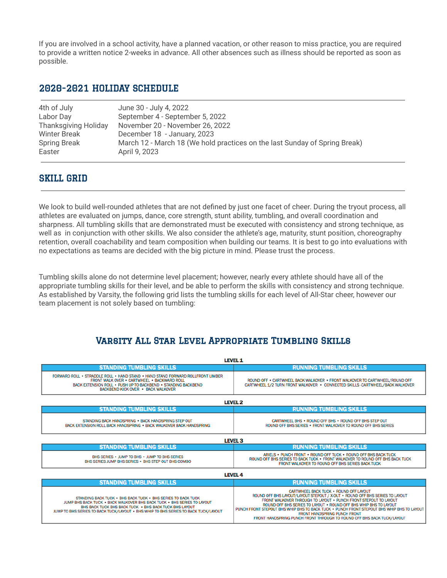If you are involved in a school activity, have a planned vacation, or other reason to miss practice, you are required to provide a written notice 2-weeks in advance. All other absences such as illness should be reported as soon as possible.

## 2020-2021 HOLIDAY SCHEDULE

| 4th of July                 | June 30 - July 4, 2022                                                     |
|-----------------------------|----------------------------------------------------------------------------|
| Labor Day                   | September 4 - September 5, 2022                                            |
| <b>Thanksgiving Holiday</b> | November 20 - November 26, 2022                                            |
| Winter Break                | December 18 - January, 2023                                                |
| <b>Spring Break</b>         | March 12 - March 18 (We hold practices on the last Sunday of Spring Break) |
| Easter                      | April 9, 2023                                                              |
|                             |                                                                            |

## SKILL GRID

We look to build well-rounded athletes that are not defined by just one facet of cheer. During the tryout process, all athletes are evaluated on jumps, dance, core strength, stunt ability, tumbling, and overall coordination and sharpness. All tumbling skills that are demonstrated must be executed with consistency and strong technique, as well as in conjunction with other skills. We also consider the athlete's age, maturity, stunt position, choreography retention, overall coachability and team composition when building our teams. It is best to go into evaluations with no expectations as teams are decided with the big picture in mind. Please trust the process.

Tumbling skills alone do not determine level placement; however, nearly every athlete should have all of the appropriate tumbling skills for their level, and be able to perform the skills with consistency and strong technique. As established by Varsity, the following grid lists the tumbling skills for each level of All-Star cheer, however our team placement is not solely based on tumbling:

# Varsity All Star Level Appropriate Tumbling Skills

| <b>LEVEL 1</b>                                                                                                                                                                                                                                                                           |                                                                                                                                                                                                                                                                                                                                                                                                                                                                                       |  |  |  |
|------------------------------------------------------------------------------------------------------------------------------------------------------------------------------------------------------------------------------------------------------------------------------------------|---------------------------------------------------------------------------------------------------------------------------------------------------------------------------------------------------------------------------------------------------------------------------------------------------------------------------------------------------------------------------------------------------------------------------------------------------------------------------------------|--|--|--|
| <b>STANDING TUMBLING SKILLS</b>                                                                                                                                                                                                                                                          | <b>RUNNING TUMBLING SKILLS</b>                                                                                                                                                                                                                                                                                                                                                                                                                                                        |  |  |  |
| FORWARD ROLL . STRADDLE ROLL . HAND STAND . HAND STAND FORWARD ROLLFRONT LIMBER<br>FRONT WALK OVER . CARTWHEEL . BACKWARD ROLL<br>BACK EXTENSION ROLL . PUSH UP TO BACKBEND . STANDING BACKBEND<br>BACKBEND KICK OVER · BACK WALKOVER                                                    | ROUND OFF . CARTWHEEL BACK WALKOVER . FRONT WALKOVER TO CARTWHEEL/ROUND OFF<br>CARTWHEEL 1/2 TURN FRONT WALKOVER • CONNECTED SKILLS -CARTWHEEL/BACK WALKOVER                                                                                                                                                                                                                                                                                                                          |  |  |  |
| <b>LEVEL 2</b>                                                                                                                                                                                                                                                                           |                                                                                                                                                                                                                                                                                                                                                                                                                                                                                       |  |  |  |
| <b>STANDING TUMBLING SKILLS</b>                                                                                                                                                                                                                                                          | <b>RUNNING TUMBLING SKILLS</b>                                                                                                                                                                                                                                                                                                                                                                                                                                                        |  |  |  |
| STANDING BACK HANDSPRING . BACK HANDSPRING STEP OUT<br>BACK EXTENSION ROLL BACK HANDSPRING . BACK WALKOVER BACK HANDSPRING                                                                                                                                                               | CARTWHEEL BHS . ROUND OFF BHS . ROUND OFF BHS STEP OUT<br>ROUND OFF BHS SERIES . FRONT WALKOVER TO ROUND OFF BHS SERIES                                                                                                                                                                                                                                                                                                                                                               |  |  |  |
| <b>LEVEL 3</b>                                                                                                                                                                                                                                                                           |                                                                                                                                                                                                                                                                                                                                                                                                                                                                                       |  |  |  |
| <b>STANDING TUMBLING SKILLS</b>                                                                                                                                                                                                                                                          | <b>RUNNING TUMBLING SKILLS</b>                                                                                                                                                                                                                                                                                                                                                                                                                                                        |  |  |  |
| BHS SERIES . JUMP TO BHS . JUMP TO BHS SERIES<br>BHS SERIES JUMP BHS SERIES . BHS STEP OUT BHS COMBO                                                                                                                                                                                     | ARIELS . PUNCH FRONT . ROUND OFF TUCK . ROUND OFF BHS BACK TUCK<br>ROUND OFF BHS SERIES TO BACK TUCK . FRONT WALKOVER TO ROUND OFF BHS BACK TUCK<br><b>FRONT WALKOVER TO ROUND OFF BHS SERIES BACK TUCK</b>                                                                                                                                                                                                                                                                           |  |  |  |
| <b>LEVEL 4</b>                                                                                                                                                                                                                                                                           |                                                                                                                                                                                                                                                                                                                                                                                                                                                                                       |  |  |  |
| <b>STANDING TUMBLING SKILLS</b>                                                                                                                                                                                                                                                          | <b>RUNNING TUMBLING SKILLS</b>                                                                                                                                                                                                                                                                                                                                                                                                                                                        |  |  |  |
| STANDING BACK TUCK . BHS BACK TUCK . BHS SERIES TO BACK TUCK<br>JUMP BHS BACK TUCK . BACK WALKOVER BHS BACK TUCK . BHS SERIES TO LAYOUT<br>BHS BACK TUCK BHS BACK TUCK . BHS BACK TUCK BHS LAYOUT<br>JUMP TO BHS SERIES TO BACK TUCK/LAYOUT . BHS WHIP TO BHS SERIES TO BACK TUCK/LAYOUT | <b>CARTWHEEL BACK TUCK · ROUND OFF LAYOUT</b><br>ROUND OFF BHS LAYOUT/LAYOUT STEPOUT / X-OUT . ROUND OFF BHS SERIES TO LAYOUT<br>FRONT WALKOVER THROUGH TO LAYOUT . PUNCH FRONT STEPOUT TO LAYOUT<br>ROUND OFF BHS SERIES TO LAYOUT . ROUND OFF BHS WHIP BHS TO LAYOUT<br>PUNCH FRONT STEPOUT BHS WHIP BHS TO BACK TUCK . PUNCH FRONT STEPOUT BHS WHIP BHS TO LAYOUT<br><b>FRONT HANDSPRING PUNCH FRONT</b><br>FRONT HANDSPRING PUNCH FRONT THROUGH TO ROUND OFF BHS BACK TUCK/LAYOUT |  |  |  |